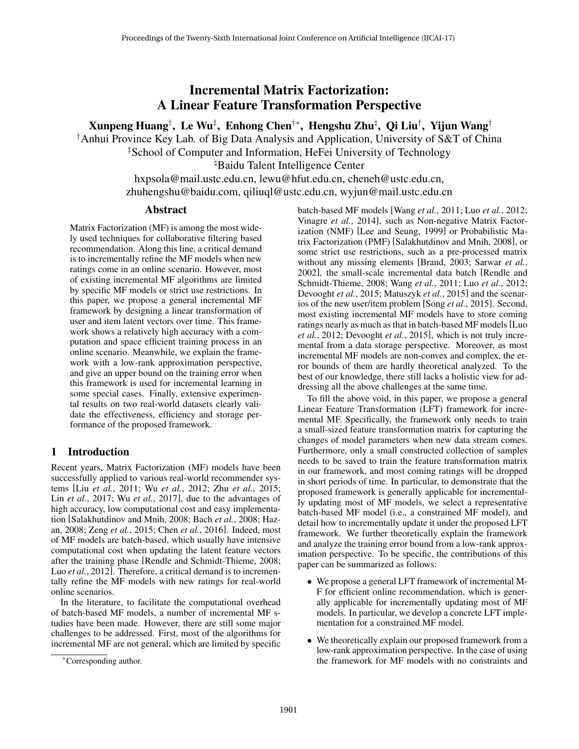Incremental Matrix Factorization: A Linear Feature Transformation Perspective

Xunpeng Huang†, Le Wu‡, Enhong Chen†\*, Hengshu Zhuʰ, Qi Liu†, Yijun Wang†

†Anhui Province Key Lab. of Big Data Analysis and Application, University of S&T of China

‡School of Computer and Information, HeFei University of Technology

<sup>¤</sup>Baidu Talent Intelligence Center

hxpsola@mail.ustc.edu.cn, lewu@hfut.edu.cn, cheneh@ustc.edu.cn, zhuhengshu@baidu.com, qiliuql@ustc.edu.cn, wyjun@mail.ustc.edu.cn

## Abstract

Matrix Factorization (MF) is among the most widely used techniques for collaborative filtering based recommendation. Along this line, a critical demand is to incrementally refine the MF models when new ratings come in an online scenario. However, most of existing incremental MF algorithms are limited by specific MF models or strict use restrictions. In this paper, we propose a general incremental MF framework by designing a linear transformation of user and item latent vectors over time. This framework shows a relatively high accuracy with a computation and space efficient training process in an online scenario. Meanwhile, we explain the framework with a low-rank approximation perspective, and give an upper bound on the training error when this framework is used for incremental learning in some special cases. Finally, extensive experimental results on two real-world datasets clearly validate the effectiveness, efficiency and storage performance of the proposed framework.

# 1 Introduction

Recent years, Matrix Factorization (MF) models have been successfully applied to various real-world recommender systems [Liu *et al.*, 2011; Wu *et al.*, 2012; Zhu *et al.*, 2015; Lin *et al.*, 2017; Wu *et al.*, 2017], due to the advantages of high accuracy, low computational cost and easy implementation [Salakhutdinov and Mnih, 2008; Bach *et al.*, 2008; Hazan, 2008; Zeng *et al.*, 2015; Chen *et al.*, 2016]. Indeed, most of MF models are batch-based, which usually have intensive computational cost when updating the latent feature vectors after the training phase [Rendle and Schmidt-Thieme, 2008; Luo *et al.*, 2012]. Therefore, a critical demand is to incrementally refine the MF models with new ratings for real-world online scenarios.

In the literature, to facilitate the computational overhead of batch-based MF models, a number of incremental MF studies have been made. However, there are still some major challenges to be addressed. First, most of the algorithms for incremental MF are not general, which are limited by specific

batch-based MF models [Wang *et al.*, 2011; Luo *et al.*, 2012; Vinagre *et al.*, 2014], such as Non-negative Matrix Factorization (NMF) [Lee and Seung, 1999] or Probabilistic Matrix Factorization (PMF) [Salakhutdinov and Mnih, 2008], or some strict use restrictions, such as a pre-processed matrix without any missing elements [Brand, 2003; Sarwar *et al.*, 2002], the small-scale incremental data batch [Rendle and Schmidt-Thieme, 2008; Wang *et al.*, 2011; Luo *et al.*, 2012; Devooght *et al.*, 2015; Matuszyk *et al.*, 2015] and the scenarios of the new user/item problem [Song *et al.*, 2015]. Second, most existing incremental MF models have to store coming ratings nearly as much as that in batch-based MF models[Luo *et al.*, 2012; Devooght *et al.*, 2015], which is not truly incremental from a data storage perspective. Moreover, as most incremental MF models are non-convex and complex, the error bounds of them are hardly theoretical analyzed. To the best of our knowledge, there still lacks a holistic view for addressing all the above challenges at the same time.

To fill the above void, in this paper, we propose a general Linear Feature Transformation (LFT) framework for incremental MF. Specifically, the framework only needs to train a small-sized feature transformation matrix for capturing the changes of model parameters when new data stream comes. Furthermore, only a small constructed collection of samples needs to be saved to train the feature transformation matrix in our framework, and most coming ratings will be dropped in short periods of time. In particular, to demonstrate that the proposed framework is generally applicable for incrementally updating most of MF models, we select a representative batch-based MF model (i.e., a constrained MF model), and detail how to incrementally update it under the proposed LFT framework. We further theoretically explain the framework and analyze the training error bound from a low-rank approximation perspective. To be specific, the contributions of this paper can be summarized as follows:

- We propose a general LFT framework of incremental M-F for efficient online recommendation, which is generally applicable for incrementally updating most of MF models. In particular, we develop a concrete LFT implementation for a constrained MF model.
- We theoretically explain our proposed framework from a low-rank approximation perspective. In the case of using the framework for MF models with no constraints and

<sup>∗</sup>Corresponding author.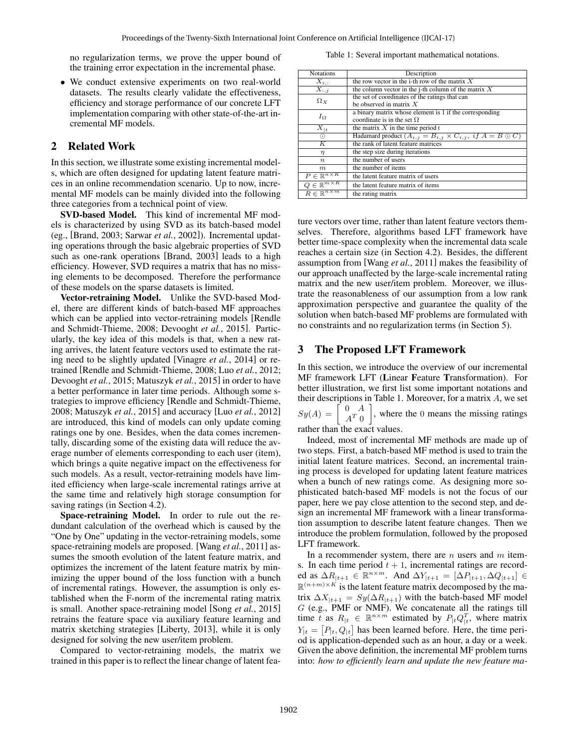no regularization terms, we prove the upper bound of the training error expectation in the incremental phase.

• We conduct extensive experiments on two real-world datasets. The results clearly validate the effectiveness, efficiency and storage performance of our concrete LFT implementation comparing with other state-of-the-art incremental MF models.

# 2 Related Work

In this section, we illustrate some existing incremental models, which are often designed for updating latent feature matrices in an online recommendation scenario. Up to now, incremental MF models can be mainly divided into the following three categories from a technical point of view.

SVD-based Model. This kind of incremental MF models is characterized by using SVD as its batch-based model (eg., [Brand, 2003; Sarwar *et al.*, 2002]). Incremental updating operations through the basic algebraic properties of SVD such as one-rank operations [Brand, 2003] leads to a high efficiency. However, SVD requires a matrix that has no missing elements to be decomposed. Therefore the performance of these models on the sparse datasets is limited.

Vector-retraining Model. Unlike the SVD-based Model, there are different kinds of batch-based MF approaches which can be applied into vector-retraining models [Rendle and Schmidt-Thieme, 2008; Devooght *et al.*, 2015]. Particularly, the key idea of this models is that, when a new rating arrives, the latent feature vectors used to estimate the rating need to be slightly updated [Vinagre *et al.*, 2014] or retrained [Rendle and Schmidt-Thieme, 2008; Luo *et al.*, 2012; Devooght *et al.*, 2015; Matuszyk *et al.*, 2015] in order to have a better performance in later time periods. Although some strategies to improve efficiency [Rendle and Schmidt-Thieme, 2008; Matuszyk *et al.*, 2015] and accuracy [Luo *et al.*, 2012] are introduced, this kind of models can only update coming ratings one by one. Besides, when the data comes incrementally, discarding some of the existing data will reduce the average number of elements corresponding to each user (item), which brings a quite negative impact on the effectiveness for such models. As a result, vector-retraining models have limited efficiency when large-scale incremental ratings arrive at the same time and relatively high storage consumption for saving ratings (in Section 4.2).

Space-retraining Model. In order to rule out the redundant calculation of the overhead which is caused by the "One by One" updating in the vector-retraining models, some space-retraining models are proposed. [Wang *et al.*, 2011] assumes the smooth evolution of the latent feature matrix, and optimizes the increment of the latent feature matrix by minimizing the upper bound of the loss function with a bunch of incremental ratings. However, the assumption is only established when the F-norm of the incremental rating matrix is small. Another space-retraining model [Song *et al.*, 2015] retrains the feature space via auxiliary feature learning and matrix sketching strategies [Liberty, 2013], while it is only designed for solving the new user/item problem.

Compared to vector-retraining models, the matrix we trained in this paper is to reflect the linear change of latent fea-

Table 1: Several important mathematical notations.

| <b>Notations</b>                | Description                                                                      |  |  |  |  |
|---------------------------------|----------------------------------------------------------------------------------|--|--|--|--|
|                                 | the row vector in the i-th row of the matrix $X$                                 |  |  |  |  |
| $X_{i,:}$                       |                                                                                  |  |  |  |  |
| $\overline{X}_{:,j}$            | the column vector in the j-th column of the matrix $X$                           |  |  |  |  |
| $\Omega_X$                      | the set of coordinates of the ratings that can                                   |  |  |  |  |
|                                 | be observed in matrix $X$                                                        |  |  |  |  |
| $I_{\Omega}$                    | a binary matrix whose element is 1 if the corresponding                          |  |  |  |  |
|                                 | coordinate is in the set $\Omega$                                                |  |  |  |  |
| $\overline{X}_{ t}$             | the matrix $X$ in the time period t                                              |  |  |  |  |
| $_{\odot}$                      | Hadamard product $(A_{i,j} = B_{i,j} \times C_{i,j}, \text{ if } A = B \odot C)$ |  |  |  |  |
| $\overline{K}$                  | the rank of latent feature matrices                                              |  |  |  |  |
| η                               | the step size during iterations                                                  |  |  |  |  |
| $\boldsymbol{n}$                | the number of users                                                              |  |  |  |  |
| m                               | the number of items                                                              |  |  |  |  |
| $P \in \mathbb{R}^{n \times K}$ | the latent feature matrix of users                                               |  |  |  |  |
| $Q \in \mathbb{R}^{m \times K}$ | the latent feature matrix of items                                               |  |  |  |  |
| $R \in \mathbb{R}^{n \times m}$ | the rating matrix                                                                |  |  |  |  |

ture vectors over time, rather than latent feature vectors themselves. Therefore, algorithms based LFT framework have better time-space complexity when the incremental data scale reaches a certain size (in Section 4.2). Besides, the different assumption from [Wang *et al.*, 2011] makes the feasibility of our approach unaffected by the large-scale incremental rating matrix and the new user/item problem. Moreover, we illustrate the reasonableness of our assumption from a low rank approximation perspective and guarantee the quality of the solution when batch-based MF problems are formulated with no constraints and no regularization terms (in Section 5).

## 3 The Proposed LFT Framework

In this section, we introduce the overview of our incremental MF framework LFT (Linear Feature Transformation). For better illustration, we first list some important notations and their descriptions in Table 1. Moreover, for a matrix A, we set  $Sy(A) =$ 0 A  $A^T$  0 , where the 0 means the missing ratings rather than the exact values.

Indeed, most of incremental MF methods are made up of two steps. First, a batch-based MF method is used to train the initial latent feature matrices. Second, an incremental training process is developed for updating latent feature matrices when a bunch of new ratings come. As designing more sophisticated batch-based MF models is not the focus of our paper, here we pay close attention to the second step, and design an incremental MF framework with a linear transformation assumption to describe latent feature changes. Then we introduce the problem formulation, followed by the proposed LFT framework.

In a recommender system, there are  $n$  users and  $m$  items. In each time period  $t + 1$ , incremental ratings are recorded as  $\Delta R_{t+1} \in \mathbb{R}^{n \times m}$ . And  $\Delta Y_{t+1} = [\Delta P_{t+1}, \Delta Q_{t+1}] \in$  $\mathbb{R}^{(n+m)\times K}$  is the latent feature matrix decomposed by the matrix  $\Delta X_{t+1} = Sy(\Delta R_{t+1})$  with the batch-based MF model G (e.g., PMF or NMF). We concatenate all the ratings till time t as  $R_{|t} \in \mathbb{R}^{n \times m}$  estimated by  $P_{|t} Q_{|t}^T$ , where matrix  $Y_{|t} = [P_{|t}, Q_{|t}]$  has been learned before. Here, the time period is application-depended such as an hour, a day or a week. Given the above definition, the incremental MF problem turns into: *how to efficiently learn and update the new feature ma-*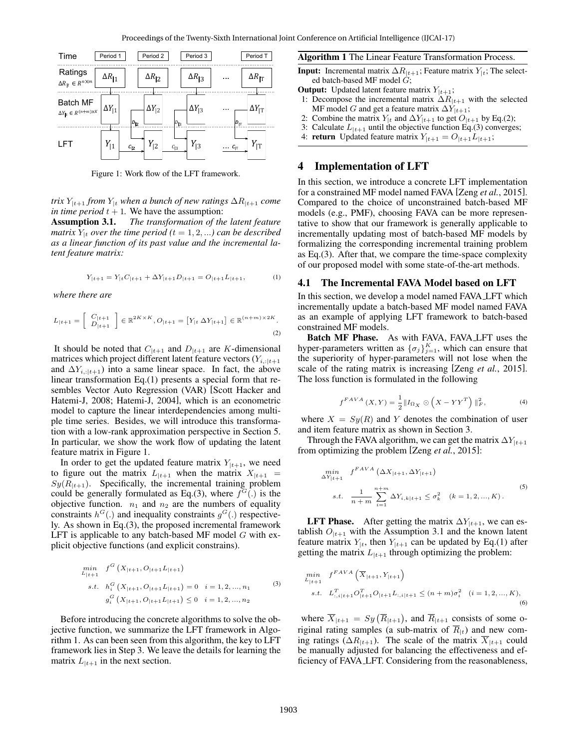

Figure 1: Work flow of the LFT framework.

*trix*  $Y_{|t+1}$  *from*  $Y_{|t}$  *when a bunch of new ratings*  $\Delta R_{|t+1}$  *come in time period*  $t + 1$ . We have the assumption:

Assumption 3.1. *The transformation of the latent feature matrix*  $Y_{|t}$  *over the time period* ( $t = 1, 2, ...$ ) *can be described as a linear function of its past value and the incremental latent feature matrix:*

$$
Y_{|t+1} = Y_{|t}C_{|t+1} + \Delta Y_{|t+1}D_{|t+1} = O_{|t+1}L_{|t+1},\tag{1}
$$

*where there are*

$$
L_{|t+1} = \left[\begin{array}{c} C_{|t+1} \\ D_{|t+1} \end{array}\right] \in \mathbb{R}^{2K \times K}, O_{|t+1} = \left[Y_{|t} \Delta Y_{|t+1}\right] \in \mathbb{R}^{(n+m) \times 2K}.
$$
\n(2)

It should be noted that  $C_{|t+1}$  and  $D_{|t+1}$  are K-dimensional matrices which project different latent feature vectors  $(Y_{i,:|t+1})$ and  $\Delta Y_{i,:|t+1}$ ) into a same linear space. In fact, the above linear transformation Eq.(1) presents a special form that resembles Vector Auto Regression (VAR) [Scott Hacker and Hatemi-J, 2008; Hatemi-J, 2004], which is an econometric model to capture the linear interdependencies among multiple time series. Besides, we will introduce this transformation with a low-rank approximation perspective in Section 5. In particular, we show the work flow of updating the latent feature matrix in Figure 1.

In order to get the updated feature matrix  $Y_{t+1}$ , we need to figure out the matrix  $L_{t+1}$  when the matrix  $X_{t+1}$  =  $Sy(R<sub>|t+1</sub>)$ . Specifically, the incremental training problem could be generally formulated as Eq.(3), where  $f^G(.)$  is the objective function.  $n_1$  and  $n_2$  are the numbers of equality constraints  $h^G(.)$  and inequality constraints  $g^G(.)$  respectively. As shown in Eq.(3), the proposed incremental framework LFT is applicable to any batch-based MF model  $G$  with explicit objective functions (and explicit constrains).

$$
\min_{L|t+1} f^{G} \left( X_{|t+1}, O_{|t+1} L_{|t+1} \right)
$$
\n*s.t.*  $h_i^{G} \left( X_{|t+1}, O_{|t+1} L_{|t+1} \right) = 0 \quad i = 1, 2, ..., n_1$  (3)  
\n $g_i^{G} \left( X_{|t+1}, O_{|t+1} L_{|t+1} \right) \leq 0 \quad i = 1, 2, ..., n_2$ 

Before introducing the concrete algorithms to solve the objective function, we summarize the LFT framework in Algorithm 1. As can been seen from this algorithm, the key to LFT framework lies in Step 3. We leave the details for learning the matrix  $L_{t+1}$  in the next section.

#### Algorithm 1 The Linear Feature Transformation Process.

**Input:** Incremental matrix  $\Delta R_{t+1}$ ; Feature matrix  $Y_{t}$ ; The selected batch-based MF model  $G$ ;

- **Output:** Updated latent feature matrix  $Y_{|t+1}$ ;
- 1: Decompose the incremental matrix  $\Delta R_{t+1}$  with the selected MF model G and get a feature matrix  $\Delta Y_{t+1}$ ;
- 2: Combine the matrix  $Y_{|t}$  and  $\Delta Y_{|t+1}$  to get  $O_{|t+1}$  by Eq.(2);
- 3: Calculate  $L_{|t+1}$  until the objective function Eq.(3) converges;
- 4: **return** Updated feature matrix  $Y_{|t+1} = O_{|t+1}L_{|t+1}$ ;

## 4 Implementation of LFT

In this section, we introduce a concrete LFT implementation for a constrained MF model named FAVA [Zeng *et al.*, 2015]. Compared to the choice of unconstrained batch-based MF models (e.g., PMF), choosing FAVA can be more representative to show that our framework is generally applicable to incrementally updating most of batch-based MF models by formalizing the corresponding incremental training problem as Eq.(3). After that, we compare the time-space complexity of our proposed model with some state-of-the-art methods.

#### 4.1 The Incremental FAVA Model based on LFT

In this section, we develop a model named FAVA LFT which incrementally update a batch-based MF model named FAVA as an example of applying LFT framework to batch-based constrained MF models.

Batch MF Phase. As with FAVA, FAVA LFT uses the hyper-parameters written as  $\{\sigma_j\}_{j=1}^K$ , which can ensure that the superiority of hyper-parameters will not lose when the scale of the rating matrix is increasing [Zeng *et al.*, 2015]. The loss function is formulated in the following

$$
f^{FAVA}(X,Y) = \frac{1}{2} \|I_{\Omega_X} \odot \left(X - YY^T\right)\|_F^2, \tag{4}
$$

where  $X = Sy(R)$  and Y denotes the combination of user and item feature matrix as shown in Section 3.

Through the FAVA algorithm, we can get the matrix  $\Delta Y_{t+1}$ from optimizing the problem [Zeng *et al.*, 2015]:

$$
\min_{\Delta Y_{|t+1}} f^{FAVA} \left(\Delta X_{|t+1}, \Delta Y_{|t+1}\right)
$$
\n*s.t.*\n
$$
\frac{1}{n+m} \sum_{i=1}^{n+m} \Delta Y_{i,k|t+1} \leq \sigma_k^2 \quad (k = 1, 2, ..., K).
$$
\n(5)

**LFT Phase.** After getting the matrix  $\Delta Y_{t+1}$ , we can establish  $O_{t+1}$  with the Assumption 3.1 and the known latent feature matrix  $Y_{|t}$ , then  $Y_{|t+1}$  can be updated by Eq.(1) after getting the matrix  $L_{|t+1}$  through optimizing the problem:

$$
\min_{L_{|t+1}} f^{FAVA} \left( \overline{X}_{|t+1}, Y_{|t+1} \right)
$$
\n*s.t.*  $L_{:,i|t+1}^T O_{|t+1}^T O_{|t+1} L_{:,i|t+1} \leq (n+m)\sigma_i^2 \quad (i = 1, 2, ..., K),$ \n(6)

where  $\overline{X}_{|t+1} = Sy(\overline{R}_{|t+1})$ , and  $\overline{R}_{|t+1}$  consists of some original rating samples (a sub-matrix of  $\overline{R}_{1t}$ ) and new coming ratings ( $\Delta R_{t+1}$ ). The scale of the matrix  $\overline{X}_{t+1}$  could be manually adjusted for balancing the effectiveness and efficiency of FAVA LFT. Considering from the reasonableness,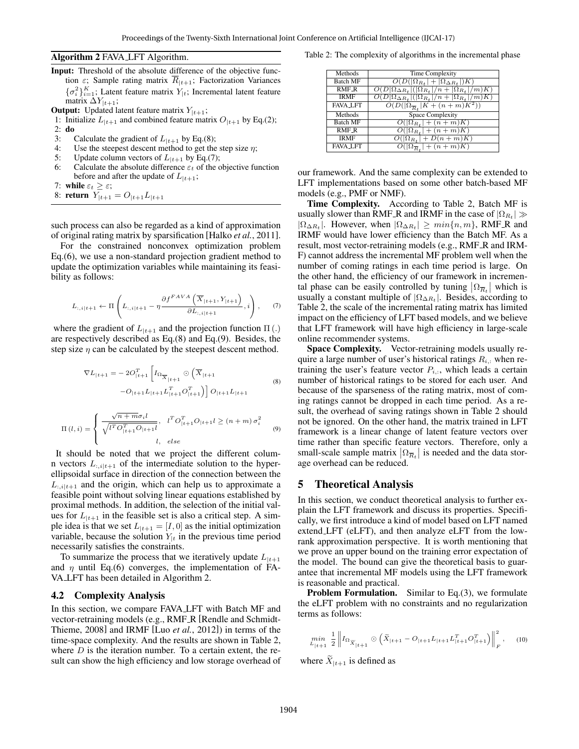#### Algorithm 2 FAVA LFT Algorithm.

- Input: Threshold of the absolute difference of the objective function  $\varepsilon$ ; Sample rating matrix  $\overline{R}_{|t+1}$ ; Factorization Variances  ${\{\sigma_i^2\}}_{i=1}^K$ ; Latent feature matrix  $Y_{|t}$ ; Incremental latent feature matrix  $\Delta Y_{t+1}$ ;
- **Output:** Updated latent feature matrix  $Y_{|t+1}$ ;
- 1: Initialize  $L_{t+1}$  and combined feature matrix  $O_{t+1}$  by Eq.(2);
- 2: do
- 3: Calculate the gradient of  $L_{t+1}$  by Eq.(8);
- 4: Use the steepest descent method to get the step size  $\eta$ ;
- 5: Update column vectors of  $L_{|t+1}$  by Eq.(7);
- 6: Calculate the absolute difference  $\varepsilon_t$  of the objective function before and after the update of  $L_{|t+1}$ ;
- 7: while  $\varepsilon_t \geq \varepsilon$ ;
- 8: return  $Y_{|t+1} = O_{|t+1}L_{|t+1}$

such process can also be regarded as a kind of approximation of original rating matrix by sparsification [Halko *et al.*, 2011].

For the constrained nonconvex optimization problem Eq.(6), we use a non-standard projection gradient method to update the optimization variables while maintaining its feasibility as follows:

$$
L_{:,i|t+1} \leftarrow \Pi \left( L_{:,i|t+1} - \eta \frac{\partial f^{FAVA} \left( \overline{X}_{|t+1}, Y_{|t+1} \right)}{\partial L_{:,i|t+1}}, i \right), \quad (7)
$$

where the gradient of  $L_{|t+1}$  and the projection function  $\Pi(.)$ are respectively described as Eq.(8) and Eq.(9). Besides, the step size  $\eta$  can be calculated by the steepest descent method.

$$
\nabla L_{|t+1} = -2O_{|t+1}^T \left[ I_{\Omega_{\overline{X}_{|t+1}}} \odot (\overline{X}_{|t+1} \n-O_{|t+1} L_{|t+1} L_{|t+1}^T O_{|t+1}^T) \right] O_{|t+1} L_{|t+1}
$$
\n
$$
\Pi(l,i) = \begin{cases} \frac{\sqrt{n+m} \sigma_i l}{\sqrt{l^T O_{|t+1}^T O_{|t+1}l}}, & l^T O_{|t+1}^T O_{|t+1} l \ge (n+m) \sigma_i^2 \\ 0, & (9) \end{cases}
$$

It should be noted that we project the different column vectors  $L_{:,i|t+1}$  of the intermediate solution to the hyperellipsoidal surface in direction of the connection between the  $L_{:,i|t+1}$  and the origin, which can help us to approximate a feasible point without solving linear equations established by proximal methods. In addition, the selection of the initial values for  $L_{t+1}$  in the feasible set is also a critical step. A simple idea is that we set  $L_{t+1} = [I, 0]$  as the initial optimization variable, because the solution  $Y_{t}$  in the previous time period necessarily satisfies the constraints.

l, else

To summarize the process that we iteratively update  $L_{t+1}$ and  $\eta$  until Eq.(6) converges, the implementation of FA-VA LFT has been detailed in Algorithm 2.

#### 4.2 Complexity Analysis

 $\mathcal{L}$ 

In this section, we compare FAVA LFT with Batch MF and vector-retraining models (e.g., RMF\_R [Rendle and Schmidt-Thieme, 2008] and IRMF [Luo *et al.*, 2012]) in terms of the time-space complexity. And the results are shown in Table 2, where  $D$  is the iteration number. To a certain extent, the result can show the high efficiency and low storage overhead of

Table 2: The complexity of algorithms in the incremental phase

| Methods         | <b>Time Complexity</b>                                          |
|-----------------|-----------------------------------------------------------------|
| <b>Batch MF</b> | $O(D( \Omega_{R_t} + \Omega_{\Delta R_t} )K)$                   |
| RMF_R           | $O(D \Omega_{\Delta R_t} ( \Omega_{R_t} /n+ \Omega_{R_t} /m)K)$ |
| <b>IRMF</b>     | $O(D \Omega_{\Delta R_t} ( \Omega_{R_t} /n+ \Omega_{R_t} /m)K)$ |
| <b>FAVA_LFT</b> | $O(D( \Omega_{\overline{R}_t}  \overline{K + (n+m)K^2}))$       |
| Methods         | <b>Space Complexity</b>                                         |
| <b>Batch MF</b> | $O( \Omega_{R_t}  + (n+m)K)$                                    |
| <b>RMF R</b>    | $O( \Omega_{R_t}  + (n+m)K)$                                    |
| <b>IRMF</b>     | $O( \Omega_{R_t}  + D(n+m)K)$                                   |
| <b>FAVA_LFT</b> | $O( \Omega_{\overline{R}_\star}  + (n+m)K)$                     |

our framework. And the same complexity can be extended to LFT implementations based on some other batch-based MF models (e.g., PMF or NMF).

Time Complexity. According to Table 2, Batch MF is usually slower than RMF\_R and IRMF in the case of  $|\Omega_{R_t}| \gg$  $|\Omega_{\Delta R_t}|$ . However, when  $|\Omega_{\Delta R_t}| \geq min\{n, m\}$ , RMF\_R and IRMF would have lower efficiency than the Batch MF. As a result, most vector-retraining models (e.g., RMF\_R and IRM-F) cannot address the incremental MF problem well when the number of coming ratings in each time period is large. On the other hand, the efficiency of our framework in incremental phase can be easily controlled by tuning  $|\Omega_{\overline{R}_t}|$  which is usually a constant multiple of  $|\Omega_{\Delta R_t}|$ . Besides, according to Table 2, the scale of the incremental rating matrix has limited impact on the efficiency of LFT based models, and we believe that LFT framework will have high efficiency in large-scale online recommender systems.

Space Complexity. Vector-retraining models usually require a large number of user's historical ratings  $R_{i,:}$  when retraining the user's feature vector  $P_{i,:}$ , which leads a certain number of historical ratings to be stored for each user. And because of the sparseness of the rating matrix, most of coming ratings cannot be dropped in each time period. As a result, the overhead of saving ratings shown in Table 2 should not be ignored. On the other hand, the matrix trained in LFT framework is a linear change of latent feature vectors over time rather than specific feature vectors. Therefore, only a small-scale sample matrix  $|\Omega_{\overline{R}_t}|$  is needed and the data storage overhead can be reduced.

## 5 Theoretical Analysis

In this section, we conduct theoretical analysis to further explain the LFT framework and discuss its properties. Specifically, we first introduce a kind of model based on LFT named extend LFT (eLFT), and then analyze eLFT from the lowrank approximation perspective. It is worth mentioning that we prove an upper bound on the training error expectation of the model. The bound can give the theoretical basis to guarantee that incremental MF models using the LFT framework is reasonable and practical.

**Problem Formulation.** Similar to Eq.(3), we formulate the eLFT problem with no constraints and no regularization terms as follows:

$$
\min_{L_{\lceil t+1\rceil}} \frac{1}{2} \left\| I_{\Omega_{\widetilde{X}_{\lceil t+1\rceil}}} \odot \left( \widetilde{X}_{\lceil t+1} - O_{\lceil t+1} L_{\lceil t+1} L_{\lceil t+1}^T O_{\lceil t+1}^T \right) \right\|_F^2, \quad (10)
$$

where  $\widetilde{X}_{t+1}$  is defined as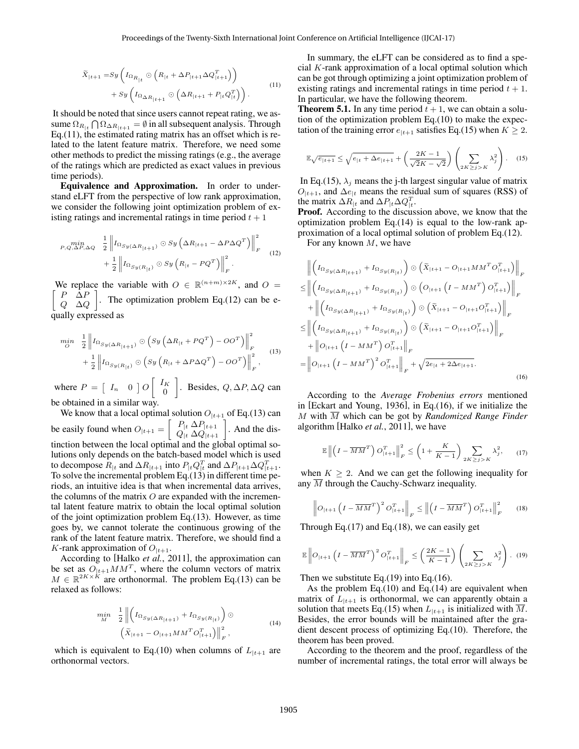$$
\widetilde{X}_{|t+1} = Sy \left( I_{\Omega_{R_{|t}}} \odot \left( R_{|t} + \Delta P_{|t+1} \Delta Q_{|t+1}^T \right) \right) \n+ Sy \left( I_{\Omega_{\Delta R_{|t+1}}} \odot \left( \Delta R_{|t+1} + P_{|t} Q_{|t}^T \right) \right).
$$
\n(11)

It should be noted that since users cannot repeat rating, we assume  $\Omega_{R_{|t}} \bigcap \Omega_{\Delta R_{|t+1}} = \emptyset$  in all subsequent analysis. Through Eq.(11), the estimated rating matrix has an offset which is related to the latent feature matrix. Therefore, we need some other methods to predict the missing ratings (e.g., the average of the ratings which are predicted as exact values in previous time periods).

Equivalence and Approximation. In order to understand eLFT from the perspective of low rank approximation, we consider the following joint optimization problem of existing ratings and incremental ratings in time period  $t + 1$ 

$$
\begin{split} \min_{P,Q,\Delta P,\Delta Q} & \frac{1}{2} \left\| I_{\Omega_{Sy}(\Delta R_{\vert t+1})} \odot Sy \left( \Delta R_{\vert t+1} - \Delta P \Delta Q^T \right) \right\|_F^2 \\ &+ \frac{1}{2} \left\| I_{\Omega_{Sy}(R_{\vert t})} \odot Sy \left( R_{\vert t} - PQ^T \right) \right\|_F^2. \end{split} \tag{12}
$$

We replace the variable with  $O \in \mathbb{R}^{(n+m)\times 2K}$ , and  $O =$  $\left[ \begin{array}{cc} P & \Delta P \end{array} \right]$  $Q$   $\Delta Q$  . The optimization problem Eq.(12) can be equally expressed as

$$
\begin{split} \min_{O} & \quad \frac{1}{2} \left\| I_{\Omega_{Sy}(\Delta R_{|t+1})} \odot \left( Sy \left( \Delta R_{|t} + PQ^T \right) - OO^T \right) \right\|_F^2 \\ & + \frac{1}{2} \left\| I_{\Omega_{Sy}(R_{|t})} \odot \left( Sy \left( R_{|t} + \Delta P \Delta Q^T \right) - OO^T \right) \right\|_F^2, \end{split} \tag{13}
$$

where  $P = \begin{bmatrix} I_n & 0 \end{bmatrix} O \begin{bmatrix} I_K \\ 0 \end{bmatrix}$ 0 . Besides,  $Q, ∆P, ∆Q$  can be obtained in a similar way.

We know that a local optimal solution  $O_{t+1}$  of Eq.(13) can be easily found when  $O_{|t+1} = \begin{bmatrix} P_{|t} \Delta P_{|t+1} \\ Q_{|t} \Delta Q_{|t+1} \end{bmatrix}$ . And the distinction between the local optimal and the global optimal solutions only depends on the batch-based model which is used to decompose  $R_{|t|}$  and  $\Delta R_{|t+1}$  into  $P_{|t} Q_{|t|}^T$  and  $\Delta P_{|t+1} \Delta Q_{|t+1}^T$ . To solve the incremental problem Eq.(13) in different time periods, an intuitive idea is that when incremental data arrives, the columns of the matrix  $O$  are expanded with the incremental latent feature matrix to obtain the local optimal solution of the joint optimization problem Eq.(13). However, as time goes by, we cannot tolerate the continuous growing of the rank of the latent feature matrix. Therefore, we should find a K-rank approximation of  $O_{t+1}$ .

According to [Halko *et al.*, 2011], the approximation can be set as  $O_{t+1}MM^T$ , where the column vectors of matrix  $M \in \mathbb{R}^{2K \times K}$  are orthonormal. The problem Eq.(13) can be relaxed as follows:

$$
\min_{M} \frac{1}{2} \left\| \left( I_{\Omega_{S} y(\Delta R_{|t+1})} + I_{\Omega_{S} y(R_{|t})} \right) \odot \right\|_{\mathcal{F}},
$$
\n
$$
\left( \widetilde{X}_{|t+1} - O_{|t+1} M M^T O_{|t+1}^T \right) \right\|_{\mathcal{F}}^2, \tag{14}
$$

which is equivalent to Eq.(10) when columns of  $L_{t+1}$  are orthonormal vectors.

In summary, the eLFT can be considered as to find a special K-rank approximation of a local optimal solution which can be got through optimizing a joint optimization problem of existing ratings and incremental ratings in time period  $t + 1$ . In particular, we have the following theorem.

**Theorem 5.1.** In any time period  $t + 1$ , we can obtain a solution of the optimization problem Eq.(10) to make the expectation of the training error  $e_{t+1}$  satisfies Eq.(15) when  $K \geq 2$ .

$$
\mathbb{E}\sqrt{e_{|t+1}} \le \sqrt{e_{|t} + \Delta e_{|t+1}} + \left(\frac{2K - 1}{\sqrt{2}K - \sqrt{2}}\right) \left(\sum_{2K \ge j > K} \lambda_j^2\right). \tag{15}
$$

In Eq.(15),  $\lambda_j$  means the j-th largest singular value of matrix  $O_{t+1}$ , and  $\Delta e_{t}$  means the residual sum of squares (RSS) of the matrix  $\Delta R_{|t}$  and  $\Delta P_{|t} \Delta Q_{|t}^T$ .

Proof. According to the discussion above, we know that the optimization problem Eq.(14) is equal to the low-rank approximation of a local optimal solution of problem Eq.(12).

For any known  $M$ , we have

$$
\begin{split}\n&\quad \left\| \left( I_{\Omega_{\text{S}\mu(\Delta R_{|t+1})}} + I_{\Omega_{\text{S}\mu(R_{|t})}} \right) \odot \left( \tilde{X}_{|t+1} - O_{|t+1} M M^T O_{|t+1}^T \right) \right\|_F \\
&\leq \left\| \left( I_{\Omega_{\text{S}\mu(\Delta R_{|t+1})}} + I_{\Omega_{\text{S}\mu(R_{|t})}} \right) \odot \left( O_{|t+1} \left( I - M M^T \right) O_{|t+1}^T \right) \right\|_F \\
&\quad + \left\| \left( I_{\Omega_{\text{S}\mu(\Delta R_{|t+1})}} + I_{\Omega_{\text{S}\mu(R_{|t})}} \right) \odot \left( \tilde{X}_{|t+1} - O_{|t+1} O_{|t+1}^T \right) \right\|_F \\
&\leq \left\| \left( I_{\Omega_{\text{S}\mu(\Delta R_{|t+1})}} + I_{\Omega_{\text{S}\mu(R_{|t})}} \right) \odot \left( \tilde{X}_{|t+1} - O_{|t+1} O_{|t+1}^T \right) \right\|_F \\
&\quad + \left\| O_{|t+1} \left( I - M M^T \right) O_{|t+1}^T \right\|_F \\
&= \left\| O_{|t+1} \left( I - M M^T \right)^2 O_{|t+1}^T \right\|_F + \sqrt{2e_{|t} + 2\Delta e_{|t+1}}.\n\end{split} \tag{16}
$$

According to the *Average Frobenius errors* mentioned in [Eckart and Young, 1936], in Eq.(16), if we initialize the M with  $\overline{M}$  which can be got by *Randomized Range Finder* algorithm [Halko *et al.*, 2011], we have

$$
\mathbb{E}\left\|\left(I - \overline{MM}^T\right)O_{|t+1}^T\right\|_F^2 \le \left(1 + \frac{K}{K-1}\right) \sum_{2K \ge j > K} \lambda_j^2, \qquad (17)
$$

when  $K \geq 2$ . And we can get the following inequality for any  $\overline{M}$  through the Cauchy-Schwarz inequality.

$$
\left\| O_{|t+1} \left( I - \overline{MM}^T \right)^2 O_{|t+1}^T \right\|_F \le \left\| \left( I - \overline{MM}^T \right) O_{|t+1}^T \right\|_F^2 \tag{18}
$$

Through Eq. $(17)$  and Eq. $(18)$ , we can easily get

$$
\mathbb{E}\left\|O_{|t+1}\left(I - \overline{MM}^T\right)^2 O_{|t+1}^T\right\|_F \le \left(\frac{2K-1}{K-1}\right) \left(\sum_{2K \ge j>K} \lambda_j^2\right). (19)
$$

Then we substitute Eq.(19) into Eq.(16).

As the problem Eq.(10) and Eq.(14) are equivalent when matrix of  $L_{t+1}$  is orthonormal, we can apparently obtain a solution that meets Eq.(15) when  $L_{t+1}$  is initialized with  $\overline{M}$ . Besides, the error bounds will be maintained after the gradient descent process of optimizing Eq.(10). Therefore, the theorem has been proved.

According to the theorem and the proof, regardless of the number of incremental ratings, the total error will always be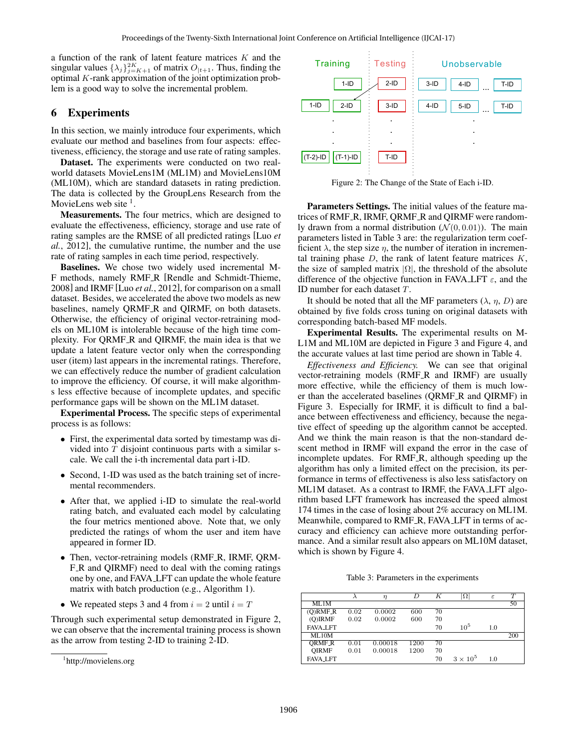a function of the rank of latent feature matrices K and the singular values  $\{\lambda_j\}_{j=K+1}^{2K}$  of matrix  $O_{|t+1}$ . Thus, finding the optimal K-rank approximation of the joint optimization problem is a good way to solve the incremental problem.

# 6 Experiments

In this section, we mainly introduce four experiments, which evaluate our method and baselines from four aspects: effectiveness, efficiency, the storage and use rate of rating samples.

Dataset. The experiments were conducted on two realworld datasets MovieLens1M (ML1M) and MovieLens10M (ML10M), which are standard datasets in rating prediction. The data is collected by the GroupLens Research from the MovieLens web site  $<sup>1</sup>$ .</sup>

Measurements. The four metrics, which are designed to evaluate the effectiveness, efficiency, storage and use rate of rating samples are the RMSE of all predicted ratings [Luo *et al.*, 2012], the cumulative runtime, the number and the use rate of rating samples in each time period, respectively.

Baselines. We chose two widely used incremental M-F methods, namely RMF R [Rendle and Schmidt-Thieme, 2008] and IRMF [Luo *et al.*, 2012], for comparison on a small dataset. Besides, we accelerated the above two models as new baselines, namely QRMF<sub>-R</sub> and QIRMF, on both datasets. Otherwise, the efficiency of original vector-retraining models on ML10M is intolerable because of the high time complexity. For QRMF R and QIRMF, the main idea is that we update a latent feature vector only when the corresponding user (item) last appears in the incremental ratings. Therefore, we can effectively reduce the number of gradient calculation to improve the efficiency. Of course, it will make algorithms less effective because of incomplete updates, and specific performance gaps will be shown on the ML1M dataset.

Experimental Process. The specific steps of experimental process is as follows:

- First, the experimental data sorted by timestamp was divided into  $T$  disjoint continuous parts with a similar scale. We call the i-th incremental data part i-ID.
- Second, 1-ID was used as the batch training set of incremental recommenders.
- After that, we applied i-ID to simulate the real-world rating batch, and evaluated each model by calculating the four metrics mentioned above. Note that, we only predicted the ratings of whom the user and item have appeared in former ID.
- Then, vector-retraining models (RMF\_R, IRMF, QRM-F<sub>-R</sub> and QIRMF) need to deal with the coming ratings one by one, and FAVA LFT can update the whole feature matrix with batch production (e.g., Algorithm 1).
- We repeated steps 3 and 4 from  $i = 2$  until  $i = T$

Through such experimental setup demonstrated in Figure 2, we can observe that the incremental training process is shown as the arrow from testing 2-ID to training 2-ID.



Figure 2: The Change of the State of Each i-ID.

Parameters Settings. The initial values of the feature matrices of RMF\_R, IRMF, QRMF\_R and QIRMF were randomly drawn from a normal distribution  $(\mathcal{N}(0, 0.01))$ . The main parameters listed in Table 3 are: the regularization term coefficient  $\lambda$ , the step size  $\eta$ , the number of iteration in incremental training phase  $D$ , the rank of latent feature matrices  $K$ , the size of sampled matrix  $|\Omega|$ , the threshold of the absolute difference of the objective function in FAVA LFT  $\varepsilon$ , and the ID number for each dataset T.

It should be noted that all the MF parameters  $(\lambda, \eta, D)$  are obtained by five folds cross tuning on original datasets with corresponding batch-based MF models.

Experimental Results. The experimental results on M-L1M and ML10M are depicted in Figure 3 and Figure 4, and the accurate values at last time period are shown in Table 4.

*Effectiveness and Efficiency.* We can see that original vector-retraining models (RMF R and IRMF) are usually more effective, while the efficiency of them is much lower than the accelerated baselines (QRMF\_R and QIRMF) in Figure 3. Especially for IRMF, it is difficult to find a balance between effectiveness and efficiency, because the negative effect of speeding up the algorithm cannot be accepted. And we think the main reason is that the non-standard descent method in IRMF will expand the error in the case of incomplete updates. For RMF<sub>-R</sub>, although speeding up the algorithm has only a limited effect on the precision, its performance in terms of effectiveness is also less satisfactory on ML1M dataset. As a contrast to IRMF, the FAVA LFT algorithm based LFT framework has increased the speed almost 174 times in the case of losing about 2% accuracy on ML1M. Meanwhile, compared to RMF R, FAVA LFT in terms of accuracy and efficiency can achieve more outstanding performance. And a similar result also appears on ML10M dataset, which is shown by Figure 4.

Table 3: Parameters in the experiments

|                 |      | η       | D    | K  | $\Omega$        | $\varepsilon$ |     |
|-----------------|------|---------|------|----|-----------------|---------------|-----|
| ML1M            |      |         |      |    |                 |               | 50  |
| $(O)$ RMF_R     | 0.02 | 0.0002  | 600  | 70 |                 |               |     |
| $(O)$ IRMF      | 0.02 | 0.0002  | 600  | 70 |                 |               |     |
| <b>FAVA_LFT</b> |      |         |      | 70 | $10^5$          | 1.0           |     |
| ML10M           |      |         |      |    |                 |               | 200 |
| <b>ORMF_R</b>   | 0.01 | 0.00018 | 1200 | 70 |                 |               |     |
| <b>OIRMF</b>    | 0.01 | 0.00018 | 1200 | 70 |                 |               |     |
| <b>FAVA_LFT</b> |      |         |      | 70 | $3 \times 10^5$ | 1.0           |     |

<sup>1</sup> http://movielens.org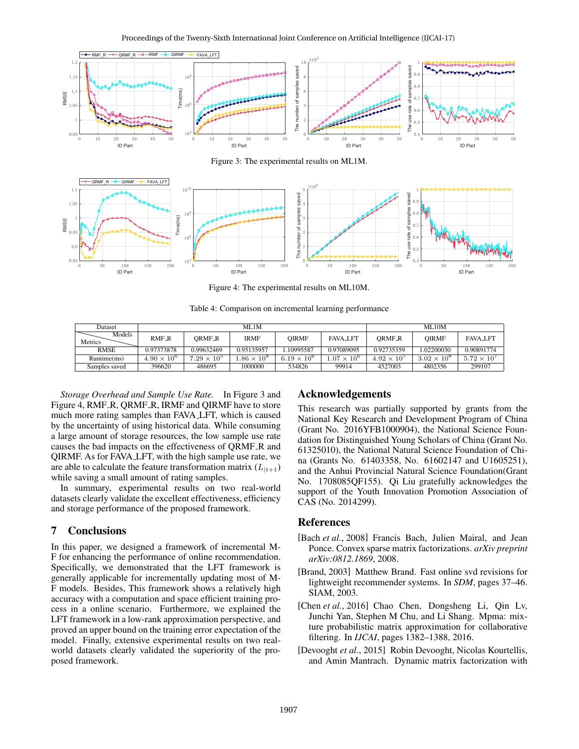

Figure 3: The experimental results on ML1M.



Figure 4: The experimental results on ML10M.

Table 4: Comparison on incremental learning performance

| Dataset           | ML1M                 |                      |                   |                      | <b>ML10M</b>        |                      |                      |                      |
|-------------------|----------------------|----------------------|-------------------|----------------------|---------------------|----------------------|----------------------|----------------------|
| Models<br>Metrics | RMF <sub>-R</sub>    | ORMF <sub>-</sub> R  | <b>IRMF</b>       | OIRMF                | <b>FAVA LFT</b>     | <b>ORMF_R</b>        | <b>OIRMF</b>         | <b>FAVA_LFT</b>      |
| <b>RMSE</b>       | 0.97373878           | 0.99632469           | 0.95135957        | .10995587            | 0.97089095          | 0.92735359           | .02200030            | 0.90891774           |
| Runtime(ms)       | $4.90 \times 10^{6}$ | $7.29 \times 10^{5}$ | $.86 \times 10^8$ | $6.19 \times 10^{6}$ | $.07 \times 10^{6}$ | $4.92 \times 10^{7}$ | $3.02 \times 10^{8}$ | $5.72 \times 10^{7}$ |
| Samples saved     | 396620               | 486695               | 1000000           | 534826               | 99914               | 4527003              | 4802356              | 299107               |

*Storage Overhead and Sample Use Rate.* In Figure 3 and Figure 4, RMF\_R, QRMF\_R, IRMF and QIRMF have to store much more rating samples than FAVA LFT, which is caused by the uncertainty of using historical data. While consuming a large amount of storage resources, the low sample use rate causes the bad impacts on the effectiveness of QRMF R and QIRMF. As for FAVA LFT, with the high sample use rate, we are able to calculate the feature transformation matrix  $(L_{t+1})$ while saving a small amount of rating samples.

In summary, experimental results on two real-world datasets clearly validate the excellent effectiveness, efficiency and storage performance of the proposed framework.

## 7 Conclusions

In this paper, we designed a framework of incremental M-F for enhancing the performance of online recommendation. Specifically, we demonstrated that the LFT framework is generally applicable for incrementally updating most of M-F models. Besides, This framework shows a relatively high accuracy with a computation and space efficient training process in a online scenario. Furthermore, we explained the LFT framework in a low-rank approximation perspective, and proved an upper bound on the training error expectation of the model. Finally, extensive experimental results on two realworld datasets clearly validated the superiority of the proposed framework.

## Acknowledgements

This research was partially supported by grants from the National Key Research and Development Program of China (Grant No. 2016YFB1000904), the National Science Foundation for Distinguished Young Scholars of China (Grant No. 61325010), the National Natural Science Foundation of China (Grants No. 61403358, No. 61602147 and U1605251), and the Anhui Provincial Natural Science Foundation(Grant No. 1708085QF155). Qi Liu gratefully acknowledges the support of the Youth Innovation Promotion Association of CAS (No. 2014299).

## References

- [Bach *et al.*, 2008] Francis Bach, Julien Mairal, and Jean Ponce. Convex sparse matrix factorizations. *arXiv preprint arXiv:0812.1869*, 2008.
- [Brand, 2003] Matthew Brand. Fast online svd revisions for lightweight recommender systems. In *SDM*, pages 37–46. SIAM, 2003.
- [Chen *et al.*, 2016] Chao Chen, Dongsheng Li, Qin Lv, Junchi Yan, Stephen M Chu, and Li Shang. Mpma: mixture probabilistic matrix approximation for collaborative filtering. In *IJCAI*, pages 1382–1388, 2016.
- [Devooght *et al.*, 2015] Robin Devooght, Nicolas Kourtellis, and Amin Mantrach. Dynamic matrix factorization with